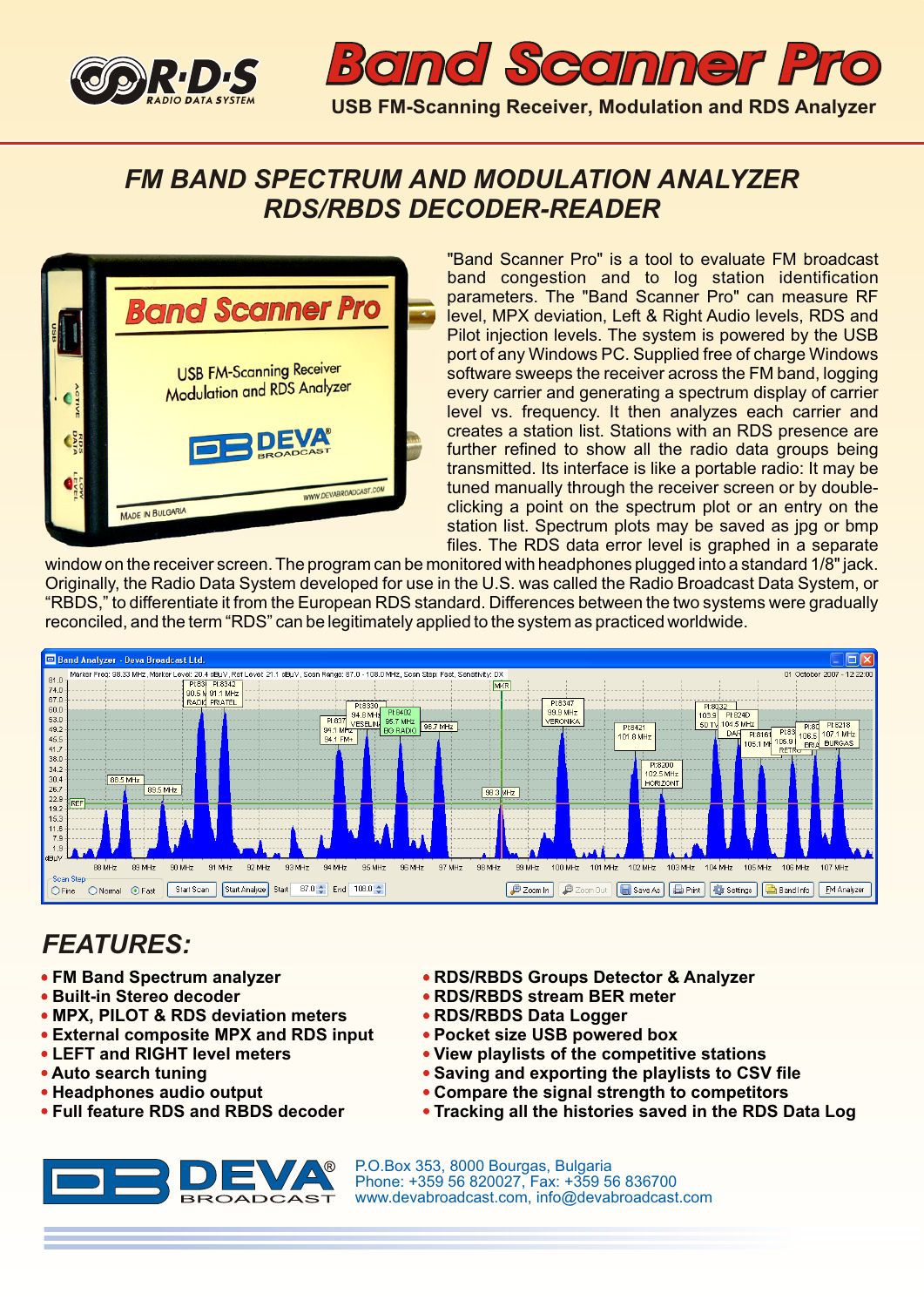



### *FM BAND SPECTRUM AND MODULATION ANALYZER RDS/RBDS DECODER-READER*



"Band Scanner Pro" is a tool to evaluate FM broadcast band congestion and to log station identification parameters. The "Band Scanner Pro" can measure RF level, MPX deviation, Left & Right Audio levels, RDS and Pilot injection levels. The system is powered by the USB port of any Windows PC. Supplied free of charge Windows software sweeps the receiver across the FM band, logging every carrier and generating a spectrum display of carrier level vs. frequency. It then analyzes each carrier and creates a station list. Stations with an RDS presence are further refined to show all the radio data groups being transmitted. Its interface is like a portable radio: It may be tuned manually through the receiver screen or by doubleclicking a point on the spectrum plot or an entry on the station list. Spectrum plots may be saved as jpg or bmp files. The RDS data error level is graphed in a separate

window on the receiver screen. The program can be monitored with headphones plugged into a standard 1/8" jack. Originally, the Radio Data System developed for use in the U.S. was called the Radio Broadcast Data System, or "RBDS," to differentiate it from the European RDS standard. Differences between the two systems were gradually reconciled, and the term "RDS" can be legitimately applied to the system as practiced worldwide.



# *FEATURES:*

- **FM Band Spectrum analyzer**
- **Built-in Stereo decoder**
- **MPX, PILOT & RDS deviation meters**
- **External composite MPX and RDS input**
- **LEFT and RIGHT level meters**
- **Auto search tuning**
- **Headphones audio output**
- **Full feature RDS and RBDS decoder**



- **RDS/RBDS Groups Detector & Analyzer**
- **RDS/RBDS stream BER meter**
- **RDS/RBDS Data Logger**
- **Pocket size USB powered box**
- **View playlists of the competitive stations**
- **Saving and exporting the playlists to CSV file**
- **Compare the signal strength to competitors**
- **Tracking all the histories saved in the RDS Data Log**

P.O.Box 353, 8000 Bourgas, Bulgaria Phone: +359 56 820027, Fax: +359 56 836700 www.devabroadcast.com, info@devabroadcast.com